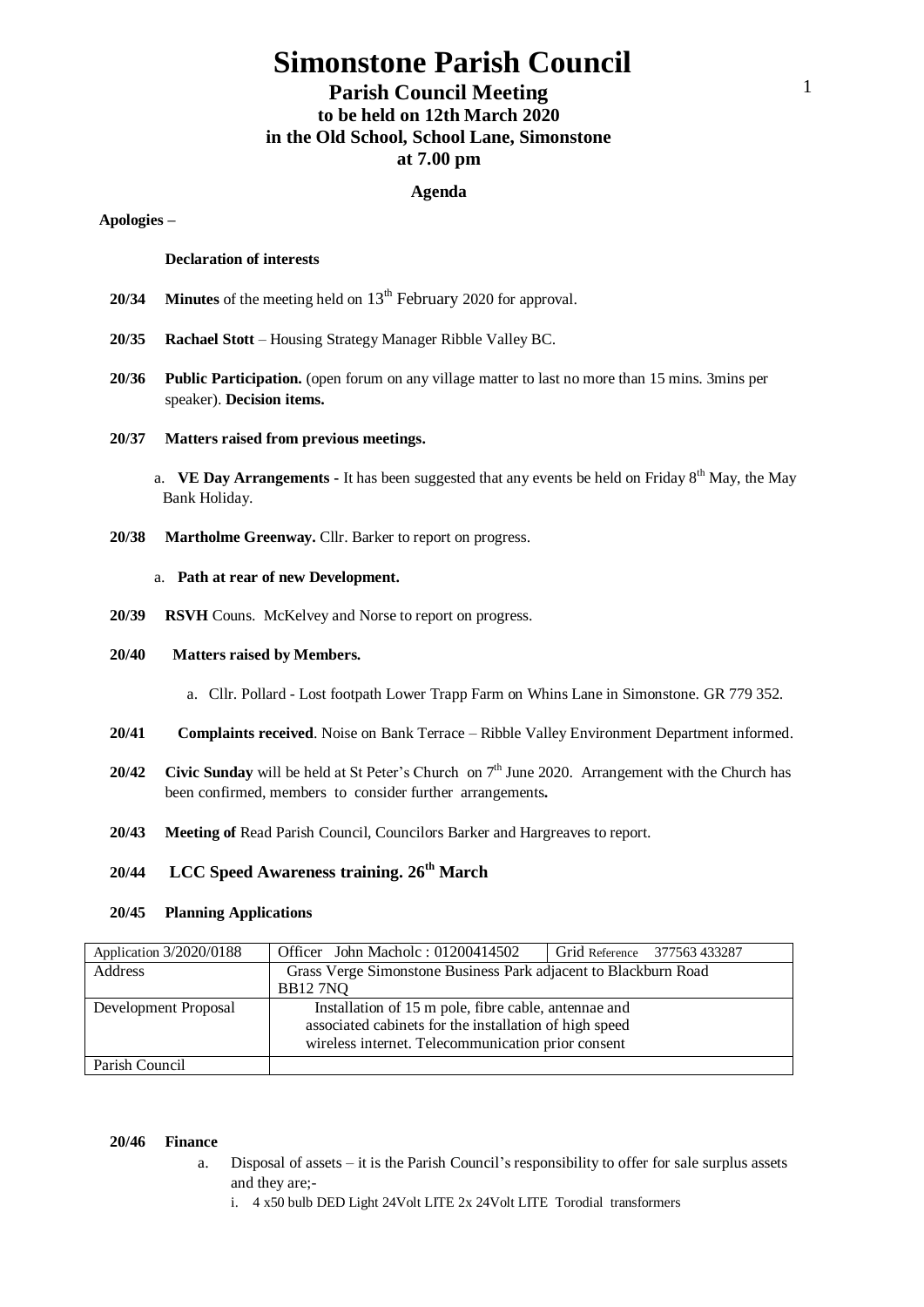# **Simonstone Parish Council**

# **Parish Council Meeting to be held on 12th March 2020 in the Old School, School Lane, Simonstone at 7.00 pm**

### **Agenda**

### **Apologies –**

#### **Declaration of interests**

- **20/34 Minutes** of the meeting held on 13<sup>th</sup> February 2020 for approval.
- **20/35 Rachael Stott**  Housing Strategy Manager Ribble Valley BC.
- **20/36 Public Participation.** (open forum on any village matter to last no more than 15 mins. 3mins per speaker). **Decision items.**

#### **20/37 Matters raised from previous meetings.**

- a. **VE Day Arrangements -** It has been suggested that any events be held on Friday 8<sup>th</sup> May, the May Bank Holiday.
- **20/38 Martholme Greenway.** Cllr. Barker to report on progress.

## a. **Path at rear of new Development.**

**20/39 RSVH** Couns. McKelvey and Norse to report on progress.

### **20/40 Matters raised by Members.**

- a. Cllr. Pollard Lost footpath Lower Trapp Farm on Whins Lane in Simonstone. GR 779 352.
- **20/41 Complaints received**. Noise on Bank Terrace Ribble Valley Environment Department informed.
- 20/42 Civic Sunday will be held at St Peter's Church on 7<sup>th</sup> June 2020. Arrangement with the Church has been confirmed, members to consider further arrangements**.**
- **20/43 Meeting of** Read Parish Council, Councilors Barker and Hargreaves to report.

# **20/44 LCC Speed Awareness training. 26th March**

#### **20/45 Planning Applications**

| Application 3/2020/0188 | Officer John Macholc: 01200414502                                                                                                                                    | Grid Reference 377563 433287 |  |
|-------------------------|----------------------------------------------------------------------------------------------------------------------------------------------------------------------|------------------------------|--|
| Address                 | Grass Verge Simonstone Business Park adjacent to Blackburn Road                                                                                                      |                              |  |
|                         | <b>BB127NQ</b>                                                                                                                                                       |                              |  |
| Development Proposal    | Installation of 15 m pole, fibre cable, antennae and<br>associated cabinets for the installation of high speed<br>wireless internet. Telecommunication prior consent |                              |  |
| Parish Council          |                                                                                                                                                                      |                              |  |

#### **20/46 Finance**

- a. Disposal of assets it is the Parish Council's responsibility to offer for sale surplus assets and they are;
	- i. 4 x50 bulb DED Light 24Volt LITE 2x 24Volt LITE Torodial transformers